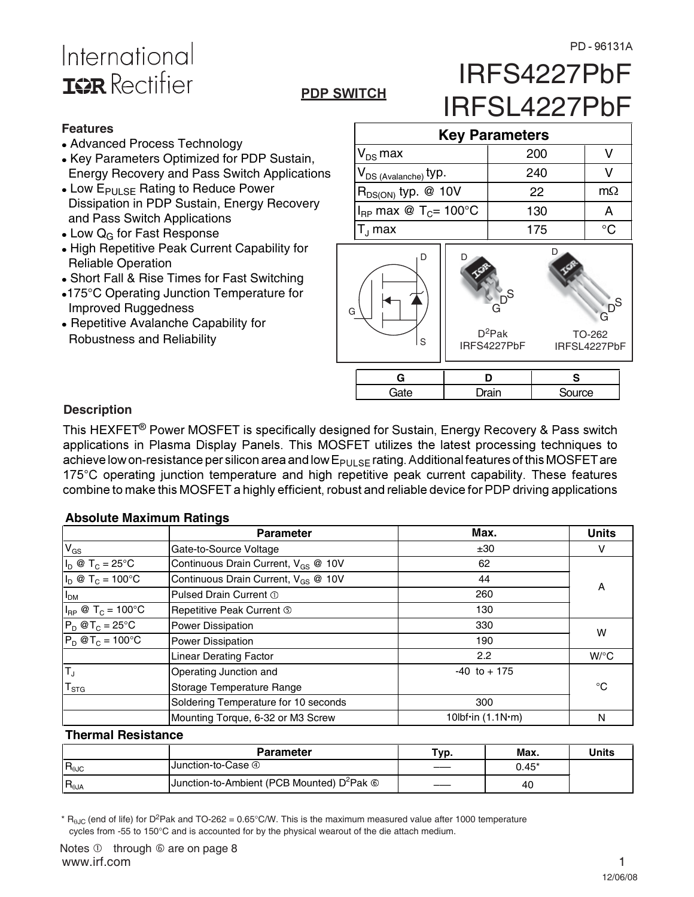IRFS4227PbF

# International **ISR** Rectifier

### **PDP SWITCH**

- 
- Key Parameters Optimized for PDP Sustain, Energy Recovery and Pass Switch Applications
- $\bullet$  Low  $E_{\text{PULSE}}$  Rating to Reduce Power Dissipation in PDP Sustain, Energy Recovery and Pass Switch Applications
- Low  $Q_G$  for Fast Response
- . High Repetitive Peak Current Capability for Reliable Operation
- Short Fall & Rise Times for Fast Switching
- 175°C Operating Junction Temperature for Improved Ruggedness
- Repetitive Avalanche Capability for Robustness and Reliability

|                                                                                                                                                                                                                                                                                                                               | <b>FUF JWILVII</b>               |                                       |                          | IRFSL4227PbF |                        |
|-------------------------------------------------------------------------------------------------------------------------------------------------------------------------------------------------------------------------------------------------------------------------------------------------------------------------------|----------------------------------|---------------------------------------|--------------------------|--------------|------------------------|
| <b>Features</b>                                                                                                                                                                                                                                                                                                               |                                  | <b>Key Parameters</b>                 |                          |              |                        |
| • Advanced Process Technology<br>• Key Parameters Optimized for PDP Sustain,                                                                                                                                                                                                                                                  | $V_{DS}$ max                     |                                       |                          | 200          | v                      |
| <b>Energy Recovery and Pass Switch Applications</b>                                                                                                                                                                                                                                                                           | V <sub>DS (Avalanche)</sub> typ. |                                       |                          | 240          | V                      |
| • Low E <sub>PULSE</sub> Rating to Reduce Power                                                                                                                                                                                                                                                                               |                                  | $R_{DS(ON)}$ typ. @ 10V               |                          |              | $m\Omega$              |
| Dissipation in PDP Sustain, Energy Recovery<br>and Pass Switch Applications                                                                                                                                                                                                                                                   |                                  | $I_{BP}$ max @ T <sub>C</sub> = 100°C |                          |              | A                      |
| • Low Q <sub>G</sub> for Fast Response<br>• High Repetitive Peak Current Capability for<br><b>Reliable Operation</b><br>• Short Fall & Rise Times for Fast Switching<br>•175°C Operating Junction Temperature for<br><b>Improved Ruggedness</b><br>• Repetitive Avalanche Capability for<br><b>Robustness and Reliability</b> | $T_{\perp}$ max                  |                                       |                          |              | $^{\circ}$ C           |
|                                                                                                                                                                                                                                                                                                                               | D<br>G<br>S                      |                                       | $D^2$ Pak<br>IRFS4227PbF |              | TO-262<br>IRFSL4227PbF |
|                                                                                                                                                                                                                                                                                                                               | G                                |                                       | D                        | S            |                        |

Gate | Drain | Source

#### **Description**

This HEXFET® Power MOSFET is specifically designed for Sustain, Energy Recovery & Pass switch applications in Plasma Display Panels. This MOSFET utilizes the latest processing techniques to achieve low on-resistance per silicon area and low E<sub>PULSE</sub> rating. Additional features of this MOSFET are 175°C operating junction temperature and high repetitive peak current capability. These features combine to make this MOSFET a highly efficient, robust and reliable device for PDP driving applications

#### **Absolute Maximum Ratings**

|                                   | <b>Parameter</b>                                | Max.                      | <b>Units</b> |  |
|-----------------------------------|-------------------------------------------------|---------------------------|--------------|--|
| $V_{GS}$                          | Gate-to-Source Voltage                          | ±30                       | v            |  |
| $I_D \otimes T_C = 25^{\circ}C$   | Continuous Drain Current, V <sub>GS</sub> @ 10V | 62                        |              |  |
| $I_D \otimes T_C = 100^{\circ}C$  | Continuous Drain Current, V <sub>GS</sub> @ 10V | 44                        |              |  |
| I <sub>DM</sub>                   | Pulsed Drain Current 1                          | 260                       | Α            |  |
| $I_{RP}$ @ T <sub>C</sub> = 100°C | Repetitive Peak Current 5                       | 130                       |              |  |
| $P_D @T_C = 25^\circ C$           | <b>Power Dissipation</b>                        | 330                       | W            |  |
| $P_D @T_C = 100°C$                | <b>Power Dissipation</b>                        | 190                       |              |  |
|                                   | <b>Linear Derating Factor</b>                   | 2.2                       | $W$ /°C      |  |
| 'T」                               | Operating Junction and                          | $-40$ to $+175$           |              |  |
| ${\sf T}_{\text{STG}}$            | Storage Temperature Range                       |                           | °C           |  |
|                                   | Soldering Temperature for 10 seconds            | 300                       |              |  |
|                                   | Mounting Torque, 6-32 or M3 Screw               | 10lbf in $(1.1N \cdot m)$ | N            |  |

#### **Thermal Resistance**

|                 | <b>Parameter</b>                                                  | Typ. | Max.    | <b>Units</b> |
|-----------------|-------------------------------------------------------------------|------|---------|--------------|
| $R_{\theta$ JC  | <b>IJunction-to-Case</b> 4                                        | ___  | $0.45*$ |              |
| $R_{\theta JA}$ | Junction-to-Ambient (PCB Mounted) D <sup>2</sup> Pak <sup>6</sup> | ___  | 40      |              |

<sup>\*</sup>  $R_{\theta\text{JC}}$  (end of life) for D<sup>2</sup>Pak and TO-262 = 0.65°C/W. This is the maximum measured value after 1000 temperature cycles from -55 to 150°C and is accounted for by the physical wearout of the die attach medium.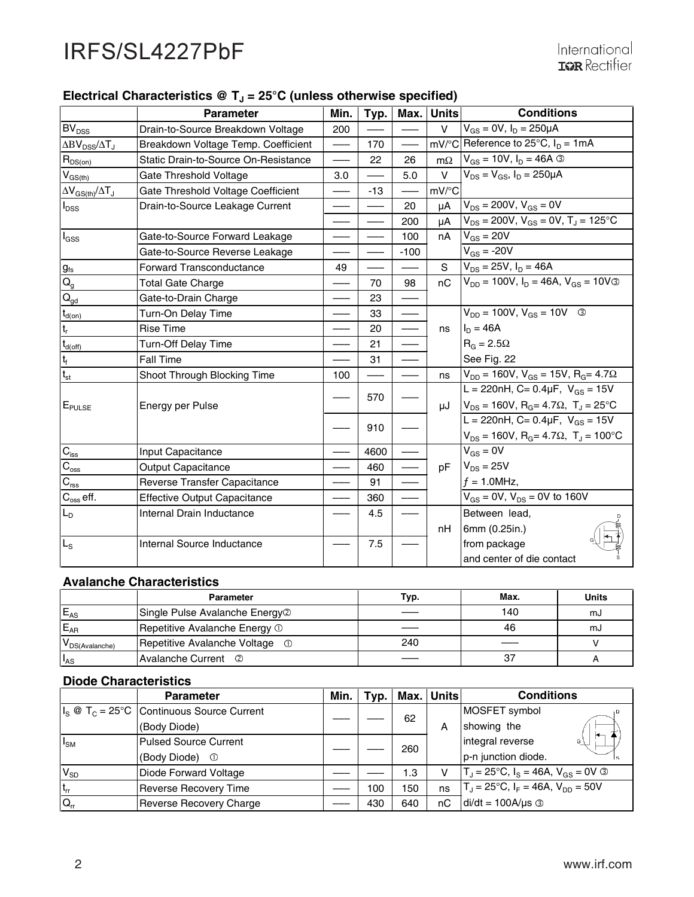|                                | $\mathsf{L}$ . The contract of $\mathsf{C}$ is the contract of $\mathsf{C}$ in the contract of $\mathsf{C}$ |      |       |        |              |                                                                         |
|--------------------------------|-------------------------------------------------------------------------------------------------------------|------|-------|--------|--------------|-------------------------------------------------------------------------|
|                                | <b>Parameter</b>                                                                                            | Min. | Typ.  | Max.   | <b>Units</b> | <b>Conditions</b>                                                       |
| BV <sub>DSS</sub>              | Drain-to-Source Breakdown Voltage                                                                           | 200  |       |        | $\vee$       | $V_{GS} = 0V$ , $I_D = 250 \mu A$                                       |
| $\Delta BV_{DSS}/\Delta T_J$   | Breakdown Voltage Temp. Coefficient                                                                         |      | 170   |        |              | mV/°C Reference to 25°C, $I_D = 1mA$                                    |
| $R_{DS(on)}$                   | Static Drain-to-Source On-Resistance                                                                        |      | 22    | 26     | $m\Omega$    | $V_{GS}$ = 10V, $I_D$ = 46A ③                                           |
| $V_{GS(th)}$                   | Gate Threshold Voltage                                                                                      | 3.0  |       | 5.0    | V            | $V_{DS} = V_{GS}$ , $I_D = 250 \mu A$                                   |
| $\Delta V_{GS(th)}/\Delta T_J$ | Gate Threshold Voltage Coefficient                                                                          |      | $-13$ |        | mV/°C        |                                                                         |
| $I_{DSS}$                      | Drain-to-Source Leakage Current                                                                             |      |       | 20     | μA           | $V_{DS}$ = 200V, $V_{GS}$ = 0V                                          |
|                                |                                                                                                             |      |       | 200    | uA           | $V_{DS} = 200V$ , $V_{GS} = 0V$ , $T_J = 125$ °C                        |
| $I_{GSS}$                      | Gate-to-Source Forward Leakage                                                                              |      |       | 100    | nA           | $V_{GS} = 20V$                                                          |
|                                | Gate-to-Source Reverse Leakage                                                                              |      |       | $-100$ |              | $V_{GS}$ = -20V                                                         |
| $g_{\rm fs}$                   | <b>Forward Transconductance</b>                                                                             | 49   |       |        | S            | $V_{DS} = 25V$ , $I_D = 46A$                                            |
| $Q_{g}$                        | <b>Total Gate Charge</b>                                                                                    |      | 70    | 98     | nC           | $V_{DD} = 100V$ , $I_D = 46A$ , $V_{GS} = 10V$ 3                        |
| $\mathsf{Q}_{\mathsf{gd}}$     | Gate-to-Drain Charge                                                                                        |      | 23    |        |              |                                                                         |
| $t_{d(on)}$                    | Turn-On Delay Time                                                                                          |      | 33    |        |              | $V_{DD} = 100V, V_{GS} = 10V$ 3                                         |
| $\mathsf{t}_{\mathsf{r}}$      | <b>Rise Time</b>                                                                                            |      | 20    |        | ns           | $I_D = 46A$                                                             |
| $t_{d(\underline{off})}$       | <b>Turn-Off Delay Time</b>                                                                                  |      | 21    |        |              | $R_G = 2.5\Omega$                                                       |
| $\mathsf{t}_{\mathsf{f}}$      | Fall Time                                                                                                   |      | 31    |        |              | See Fig. 22                                                             |
| $t_{st}$                       | Shoot Through Blocking Time                                                                                 | 100  |       |        | ns           | $V_{DD}$ = 160V, $V_{GS}$ = 15V, R <sub>G</sub> = 4.7 $\Omega$          |
|                                |                                                                                                             |      | 570   |        |              | L = 220nH, C= $0.4\mu$ F, V <sub>GS</sub> = 15V                         |
| E <sub>PULSE</sub>             | Energy per Pulse                                                                                            |      |       |        | μJ           | $V_{DS}$ = 160V, R <sub>G</sub> = 4.7 $\Omega$ , T <sub>J</sub> = 25°C  |
|                                |                                                                                                             |      | 910   |        |              | L = 220nH, C= $0.4\mu$ F, V <sub>GS</sub> = 15V                         |
|                                |                                                                                                             |      |       |        |              | $V_{DS}$ = 160V, R <sub>G</sub> = 4.7 $\Omega$ , T <sub>J</sub> = 100°C |
| $C_{\text{iss}}$               | Input Capacitance                                                                                           |      | 4600  |        |              | $V_{GS} = 0V$                                                           |
| $C_{\rm oss}$                  | <b>Output Capacitance</b>                                                                                   |      | 460   |        | pF           | $V_{DS} = 25V$                                                          |
| $\mathbf{C}_{\text{rss}}$      | Reverse Transfer Capacitance                                                                                |      | 91    |        |              | $f = 1.0$ MHz,                                                          |
| $C_{\rm oss}$ eff.             | <b>Effective Output Capacitance</b>                                                                         |      | 360   |        |              | $V_{GS} = 0V$ , $V_{DS} = 0V$ to 160V                                   |
| $L_{D}$                        | Internal Drain Inductance                                                                                   |      | 4.5   |        |              | Between lead,                                                           |
|                                |                                                                                                             |      |       |        | nH           | 6mm (0.25in.)                                                           |
| $L_{S}$                        | Internal Source Inductance                                                                                  |      | 7.5   |        |              | from package                                                            |
|                                |                                                                                                             |      |       |        |              | and center of die contact                                               |

### Electrical Characteristics  $@T_1 = 25°C$  (unless otherwise specified)

### **Avalanche Characteristics**

|                     | Parameter                                  | Typ. | Max. | <b>Units</b> |
|---------------------|--------------------------------------------|------|------|--------------|
| E <sub>AS</sub>     | Single Pulse Avalanche Energy@             |      | 140  | mJ           |
| $E_{AR}$            | Repetitive Avalanche Energy 1              |      | 46   | mJ           |
| $V_{DS(Avalanche)}$ | Repetitive Avalanche Voltage<br>$\bigcirc$ | 240  |      |              |
| $I_{AS}$            | <b>Avalanche Current</b> ©                 |      | 37   |              |

#### **Diode Characteristics**

|            | <b>Parameter</b>                                          | Min. | Typ. |     | Max.   Units | <b>Conditions</b>                                   |  |
|------------|-----------------------------------------------------------|------|------|-----|--------------|-----------------------------------------------------|--|
|            | $I_s \otimes T_c = 25^{\circ}C$ Continuous Source Current |      |      | 62  |              | MOSFET symbol                                       |  |
|            | (Body Diode)                                              |      |      |     | А            | showing the                                         |  |
| $I_{SM}$   | <b>Pulsed Source Current</b>                              |      |      | 260 |              | integral reverse<br>GΙ                              |  |
|            | (Body Diode) <sup>1</sup>                                 |      |      |     |              | p-n junction diode.                                 |  |
| $V_{SD}$   | Diode Forward Voltage                                     |      |      | 1.3 | v            | $T_J = 25^{\circ}C$ , $I_S = 46A$ , $V_{GS} = 0V$ 3 |  |
| $ t_{rr} $ | <b>Reverse Recovery Time</b>                              |      | 100  | 150 | ns           | $T_J = 25^{\circ}C$ , $I_F = 46A$ , $V_{DD} = 50V$  |  |
| $Q_{rr}$   | <b>Reverse Recovery Charge</b>                            |      | 430  | 640 | nС           | $di/dt = 100A/\mu s$ 3                              |  |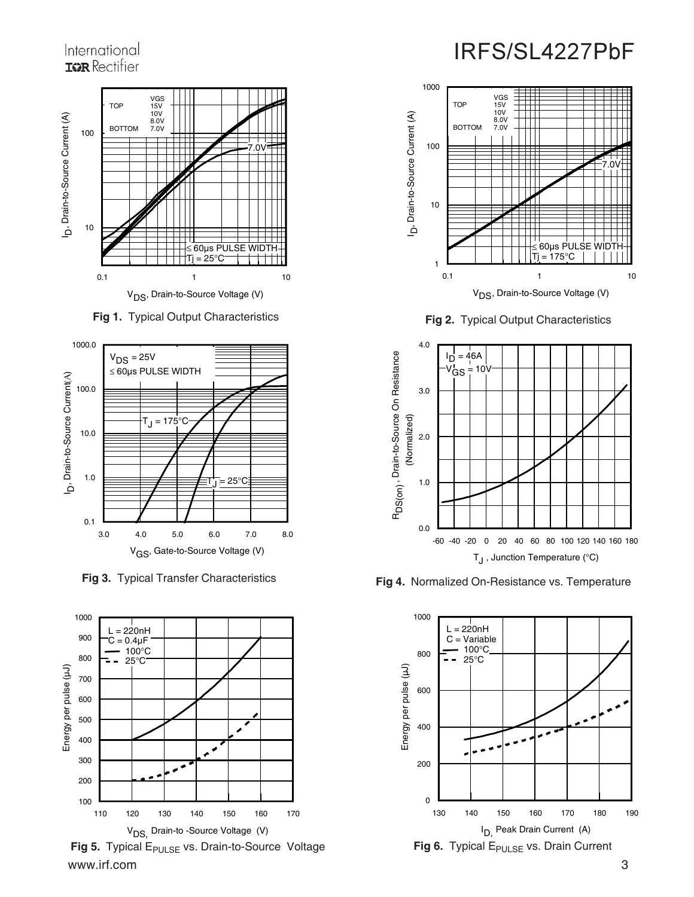### International **IGR** Rectifier



**Fig 1.** Typical Output Characteristics **Fig 2.** Typical Output Characteristics





www.irf.com 3

# IRFS/SL4227PbF





**Fig 3.** Typical Transfer Characteristics **Fig 4.** Normalized On-Resistance vs. Temperature

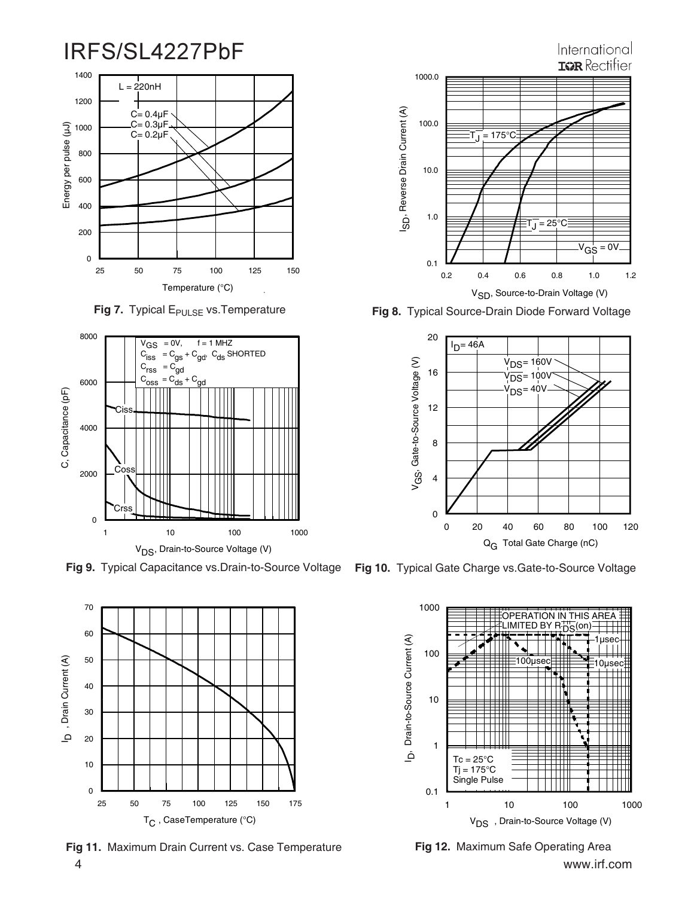



Fig 7. Typical E<sub>PULSE</sub> vs. Temperature



**Fig 9.** Typical Capacitance vs.Drain-to-Source Voltage **Fig 10.** Typical Gate Charge vs.Gate-to-Source Voltage



**Fig 11.** Maximum Drain Current vs. Case Temperature



**Fig 8.** Typical Source-Drain Diode Forward Voltage





4 www.irf.com **Fig 12.** Maximum Safe Operating Area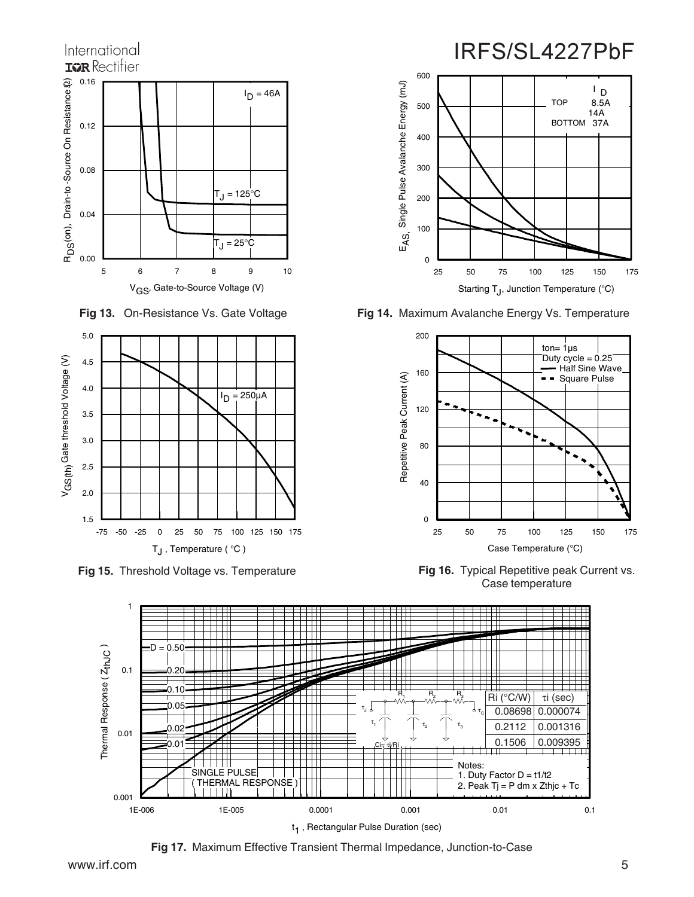



**Fig 15.** Threshold Voltage vs. Temperature





**Fig 13.** On-Resistance Vs. Gate Voltage **Fig 14.** Maximum Avalanche Energy Vs. Temperature



**Fig 16.** Typical Repetitive peak Current vs. Case temperature



**Fig 17.** Maximum Effective Transient Thermal Impedance, Junction-to-Case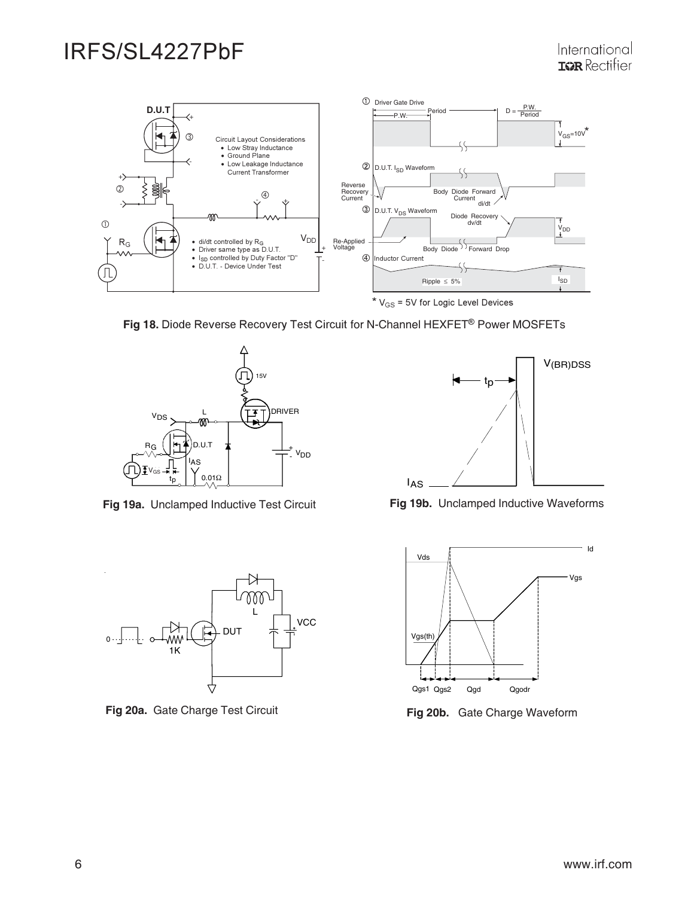

Fig 18. Diode Reverse Recovery Test Circuit for N-Channel HEXFET<sup>®</sup> Power MOSFETs





**Fig 20a.** Gate Charge Test Circuit **Fig 20b.** Gate Charge Waveform





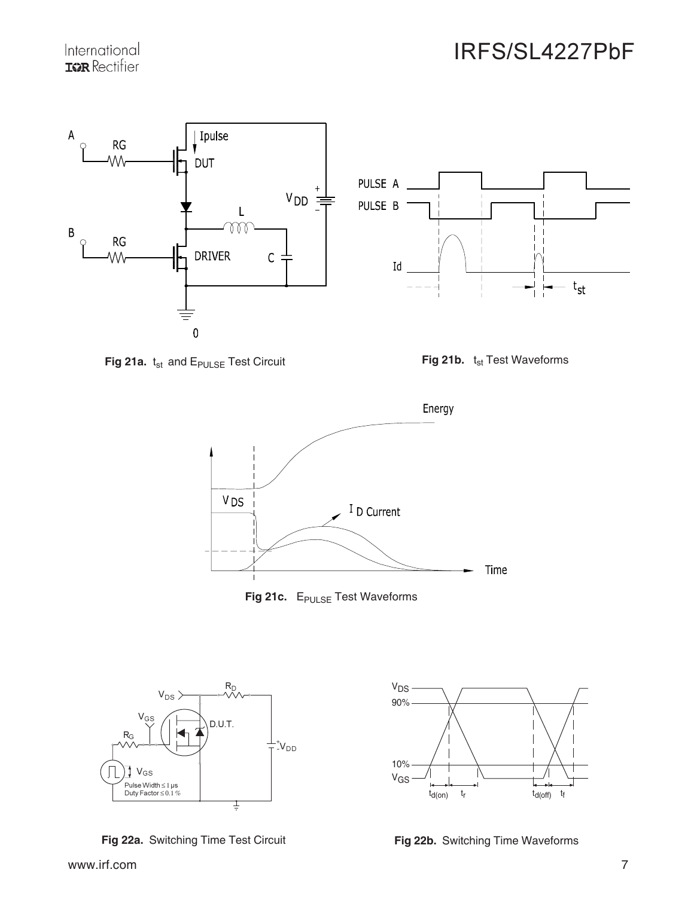





Fig 21b. t<sub>st</sub> Test Waveforms



Fig 21c. E<sub>PULSE</sub> Test Waveforms



Fig 22a. Switching Time Test Circuit



Fig 22b. Switching Time Waveforms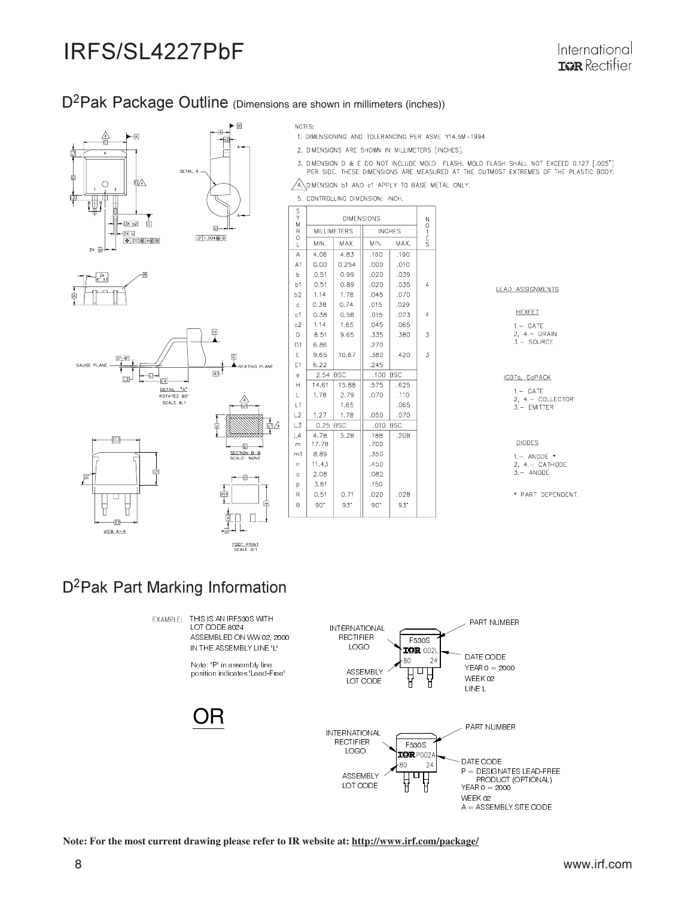### D<sup>2</sup>Pak Package Outline (Dimensions are shown in millimeters (inches))







| NOTES: |  |
|--------|--|

- 1. DIMENSIONING AND TOLERANCING PER ASME Y14.5M-1994
- 2. DIMENSIONS ARE SHOWN IN MILLIMETERS [INCHES].
- 3. DIMENSION D & E DO NOT INCLUDE MOLD FLASH. MOLD FLASH SHALL NOT EXCEED 0.127 [.005"]<br>PER SIDE. THESE DIMENSIONS ARE MEASURED AT THE OUTMOST EXTREMES OF THE PLASTIC BODY.
- ANDIMENSION 61 AND c1 APPLY TO BASE METAL ONLY.

5. CONTROLLING DIMENSION: INCH.

| S<br>Y<br>M    | <b>DIMENSIONS</b> |                    |               |            |                |  |
|----------------|-------------------|--------------------|---------------|------------|----------------|--|
| $\overline{B}$ |                   | <b>MILLIMETERS</b> | <b>INCHES</b> |            | $\frac{0}{1}$  |  |
| L              | MIN.              | MAX.               | MIN.          | MAX.       | Ė<br>S         |  |
| A              | 4.06              | 4.83               | .160          | .190       |                |  |
| A <sub>1</sub> | 0.00              | 0.254              | .000          | .010       |                |  |
| b              | 0.51              | 0.99               | .020          | .039       |                |  |
| b1             | 0.51              | 0.89               | .020          | .035       | 4              |  |
| b2             | 1.14              | 1.78               | .045          | .070       |                |  |
| $\mathbf{C}$   | 0,38              | 0.74               | .015          | .029       |                |  |
| c1             | 0.38              | 0.58               | .015          | .023       | $\overline{4}$ |  |
| c2             | 1.14              | 1.65               | .045          | .065       |                |  |
| D              | 8.51              | 9.65               | .335          | .380       | 3              |  |
| D <sub>1</sub> | 6.86              |                    | .270          |            |                |  |
| E              | 9.65              | 10.67              | .380          | .420       | 3              |  |
| E <sub>1</sub> | 6.22              |                    | .245          |            |                |  |
| e              | 2,54              | <b>BSC</b>         | .100          | <b>BSC</b> |                |  |
| $\mathsf{H}$   | 14.61             | 15.88              | .575          | 625        |                |  |
| L              | 1.78              | 2.79               | .070          | .110       |                |  |
| L1             |                   | 1.65               |               | .065       |                |  |
| L <sub>2</sub> | 1,27              | 1.78               | .050          | .070       |                |  |
| L3             | 0.25              | <b>BSC</b>         | .010          | BSC        |                |  |
| L4             | 4,78              | 5.28               | .188          | .208       |                |  |
| m              | 17,78             |                    | .700          |            |                |  |
| m1             | 8.89              |                    | .350          |            |                |  |
| $\Omega$       | 11.43             |                    | .450          |            |                |  |
| $\circ$        | 2.08              |                    | .082          |            |                |  |
| p              | 3.81              |                    | .150          |            |                |  |
| R              | 0.51              | 0,71               | .020          | .028       |                |  |
| Θ              | 90"               | 93'                | 90"           | 93"        |                |  |
|                |                   |                    |               |            |                |  |

#### LEAD ASSIGNMENTS

### **HEXFET**

 $1, -$  GATE  $2, 4, -$  DRAIN<br> $3, -$  SOURCE

#### IGBTs, CoPACK

 $1. -$  GATE  $2, 4. - COLLECTOR$ <br>3. - EMITTER

#### **DIODES**

1.- ANODE \*  $2.4 - CATHODE$  $3 - ANODE$ 

\* PART DEPENDENT.

### D<sup>2</sup>Pak Part Marking Information

EXAMPLE: THIS IS AN IRF530S WITH LOT CODE 8024 ASSEMBLED ON WW 02, 2000 IN THE ASSEMBLY LINE 'L'

)R

Note: 'P' in assembly line position indicates 'Lead-Free'





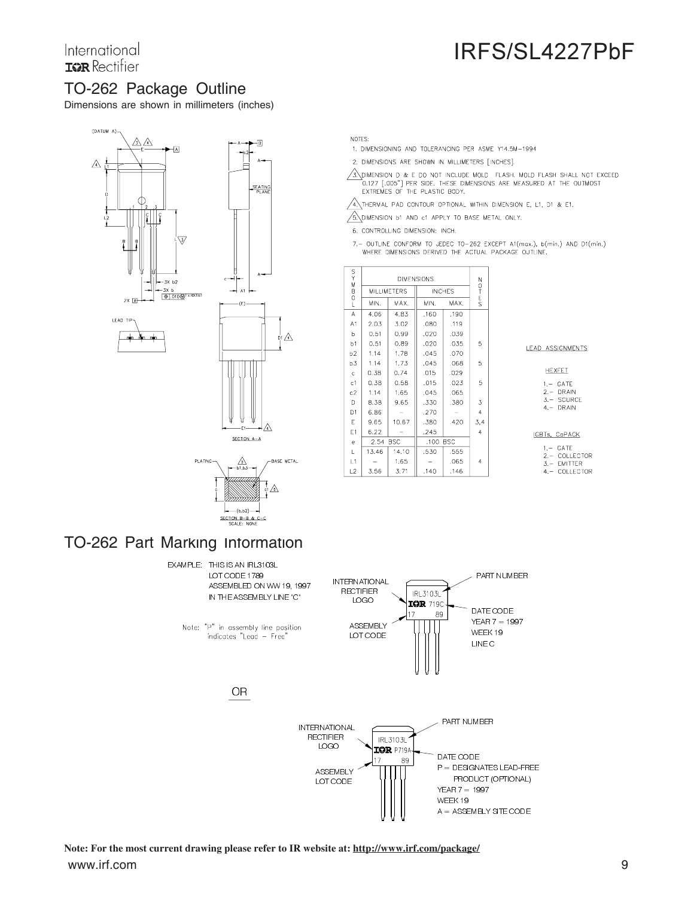### TO-262 Package Outline

Dimensions are shown in millimeters (inches)





#### NOTES:

- 1. DIMENSIONING AND TOLERANCING PER ASME Y14,5M-1994
- 2. DIMENSIONS ARE SHOWN IN MILLIMETERS [INCHES].
- $\sqrt{3}$  DIMENSION D & E DO NOT INCLUDE MOLD FLASH. MOLD FLASH SHALL NOT EXCEED 0.127 [.005"] PER SIDE. THESE DIMENSIONS ARE MEASURED AT THE OUTMOST EXTREMES OF THE PLASTIC BODY.
- $\sqrt{4}$  Thermal pad contour optional within dimension E, L1, D1 & E1.
- S. DIMENSION 61 AND c1 APPLY TO BASE METAL ONLY.
- 6. CONTROLLING DIMENSION: INCH.
- 7. OUTLINE CONFORM TO JEDEC TO-262 EXCEPT A1(max.), b(min.) AND D1(min.)<br>WHERE DIMENSIONS DERIVED THE ACTUAL PACKAGE OUTLINE.

| $\begin{array}{c}\n\mathsf{C} \\ \mathsf{C}\n\end{array}$<br><b>DIMENSIONS</b><br>NOTES<br><b>MILLIMETERS</b><br><b>INCHES</b><br>MAX.<br>MIN.<br>MIN.<br>MAX.<br>A<br>4.06<br>4.83<br>.160<br>.190<br>A1<br>2.03<br>3.02<br>.119<br>.080<br>0.51<br>0.99<br>b<br>.020<br>.039<br>5<br>b <sub>1</sub><br>0.51<br>0.89<br>.020<br>.035<br>1.14<br>b <sub>2</sub><br>1,78<br>.045<br>.070<br>5<br>1.14<br>1,73<br>.045<br>b3<br>.068<br>0.38<br>0.74<br>.015<br>.029<br>$\mathsf{c}$<br>5<br>c1<br>0.38<br>0.58<br>.015<br>.023<br>1.14<br>1,65<br>.045<br>c2<br>.065<br>3<br>D<br>8.38<br>9.65<br>.330<br>.380<br>$\overline{4}$<br>D <sub>1</sub><br>6.86<br>.270<br>Ε<br>10.67<br>9.65<br>.380<br>.420<br>3,4<br>E <sub>1</sub><br>6.22<br>$\overline{4}$<br>.245<br>.100<br><b>BSC</b><br>2.54<br><b>BSC</b><br>$\mathbf{e}% _{t}\left  \mathbf{1}\right\rangle$<br>L<br>14.10<br>13.46<br>.530<br>.555<br>L1<br>$\overline{4}$<br>1,65<br>.065 |  |
|---------------------------------------------------------------------------------------------------------------------------------------------------------------------------------------------------------------------------------------------------------------------------------------------------------------------------------------------------------------------------------------------------------------------------------------------------------------------------------------------------------------------------------------------------------------------------------------------------------------------------------------------------------------------------------------------------------------------------------------------------------------------------------------------------------------------------------------------------------------------------------------------------------------------------------------------------|--|
|                                                                                                                                                                                                                                                                                                                                                                                                                                                                                                                                                                                                                                                                                                                                                                                                                                                                                                                                                   |  |
|                                                                                                                                                                                                                                                                                                                                                                                                                                                                                                                                                                                                                                                                                                                                                                                                                                                                                                                                                   |  |
|                                                                                                                                                                                                                                                                                                                                                                                                                                                                                                                                                                                                                                                                                                                                                                                                                                                                                                                                                   |  |
|                                                                                                                                                                                                                                                                                                                                                                                                                                                                                                                                                                                                                                                                                                                                                                                                                                                                                                                                                   |  |
|                                                                                                                                                                                                                                                                                                                                                                                                                                                                                                                                                                                                                                                                                                                                                                                                                                                                                                                                                   |  |
|                                                                                                                                                                                                                                                                                                                                                                                                                                                                                                                                                                                                                                                                                                                                                                                                                                                                                                                                                   |  |
|                                                                                                                                                                                                                                                                                                                                                                                                                                                                                                                                                                                                                                                                                                                                                                                                                                                                                                                                                   |  |
|                                                                                                                                                                                                                                                                                                                                                                                                                                                                                                                                                                                                                                                                                                                                                                                                                                                                                                                                                   |  |
|                                                                                                                                                                                                                                                                                                                                                                                                                                                                                                                                                                                                                                                                                                                                                                                                                                                                                                                                                   |  |
|                                                                                                                                                                                                                                                                                                                                                                                                                                                                                                                                                                                                                                                                                                                                                                                                                                                                                                                                                   |  |
|                                                                                                                                                                                                                                                                                                                                                                                                                                                                                                                                                                                                                                                                                                                                                                                                                                                                                                                                                   |  |
|                                                                                                                                                                                                                                                                                                                                                                                                                                                                                                                                                                                                                                                                                                                                                                                                                                                                                                                                                   |  |
|                                                                                                                                                                                                                                                                                                                                                                                                                                                                                                                                                                                                                                                                                                                                                                                                                                                                                                                                                   |  |
|                                                                                                                                                                                                                                                                                                                                                                                                                                                                                                                                                                                                                                                                                                                                                                                                                                                                                                                                                   |  |
|                                                                                                                                                                                                                                                                                                                                                                                                                                                                                                                                                                                                                                                                                                                                                                                                                                                                                                                                                   |  |
|                                                                                                                                                                                                                                                                                                                                                                                                                                                                                                                                                                                                                                                                                                                                                                                                                                                                                                                                                   |  |
|                                                                                                                                                                                                                                                                                                                                                                                                                                                                                                                                                                                                                                                                                                                                                                                                                                                                                                                                                   |  |
|                                                                                                                                                                                                                                                                                                                                                                                                                                                                                                                                                                                                                                                                                                                                                                                                                                                                                                                                                   |  |
|                                                                                                                                                                                                                                                                                                                                                                                                                                                                                                                                                                                                                                                                                                                                                                                                                                                                                                                                                   |  |
| 3.56<br>L2<br>3.71<br>.140<br>.146                                                                                                                                                                                                                                                                                                                                                                                                                                                                                                                                                                                                                                                                                                                                                                                                                                                                                                                |  |

#### LEAD ASSIGNMENTS

|--|

| J<br>u |
|--------|

- $3 -$  SOURCE  $4 - DRAIN$
- 

#### IGBTs, CoPACK

- 1.- GATE<br>2.- COLLECTOR<br>3.- EMITTER<br>4.- COLLECTOR
- 
- 





Note: For the most current drawing please refer to IR website at: http://www.irf.com/package/ www.irf.com

# IRFS/SI 4227PbF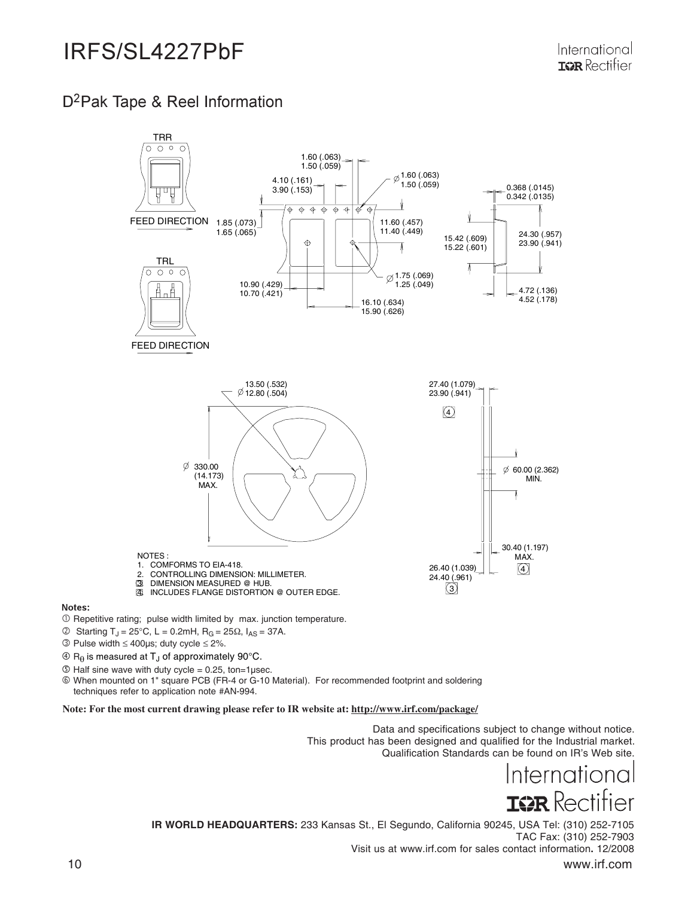### D<sup>2</sup>Pak Tape & Reel Information



#### Notes:

- $O$  Repetitive rating; pulse width limited by max. junction temperature.
- © Starting T<sub>J</sub> = 25°C, L = 0.2mH, R<sub>G</sub> = 25Ω, I<sub>AS</sub> = 37A.
- Pulse width ≤ 400µs; duty cycle ≤ 2%.
- $\textcircled{\scriptsize{A}}$  R<sub> $\theta$ </sub> is measured at T<sub>J</sub> of approximately 90°C.

 $\circled{}$  Half sine wave with duty cycle = 0.25, ton=1µsec.

 When mounted on 1" square PCB (FR-4 or G-10 Material). For recommended footprint and soldering techniques refer to application note #AN-994.

**Note: For the most current drawing please refer to IR website at: http://www.irf.com/package/**

Data and specifications subject to change without notice. This product has been designed and qualified for the Industrial market. Qualification Standards can be found on IR's Web site.

# International **IGR** Rectifier

10 www.irf.com **IR WORLD HEADQUARTERS:** 233 Kansas St., El Segundo, California 90245, USA Tel: (310) 252-7105 TAC Fax: (310) 252-7903 Visit us at www.irf.com for sales contact information**.** 12/2008